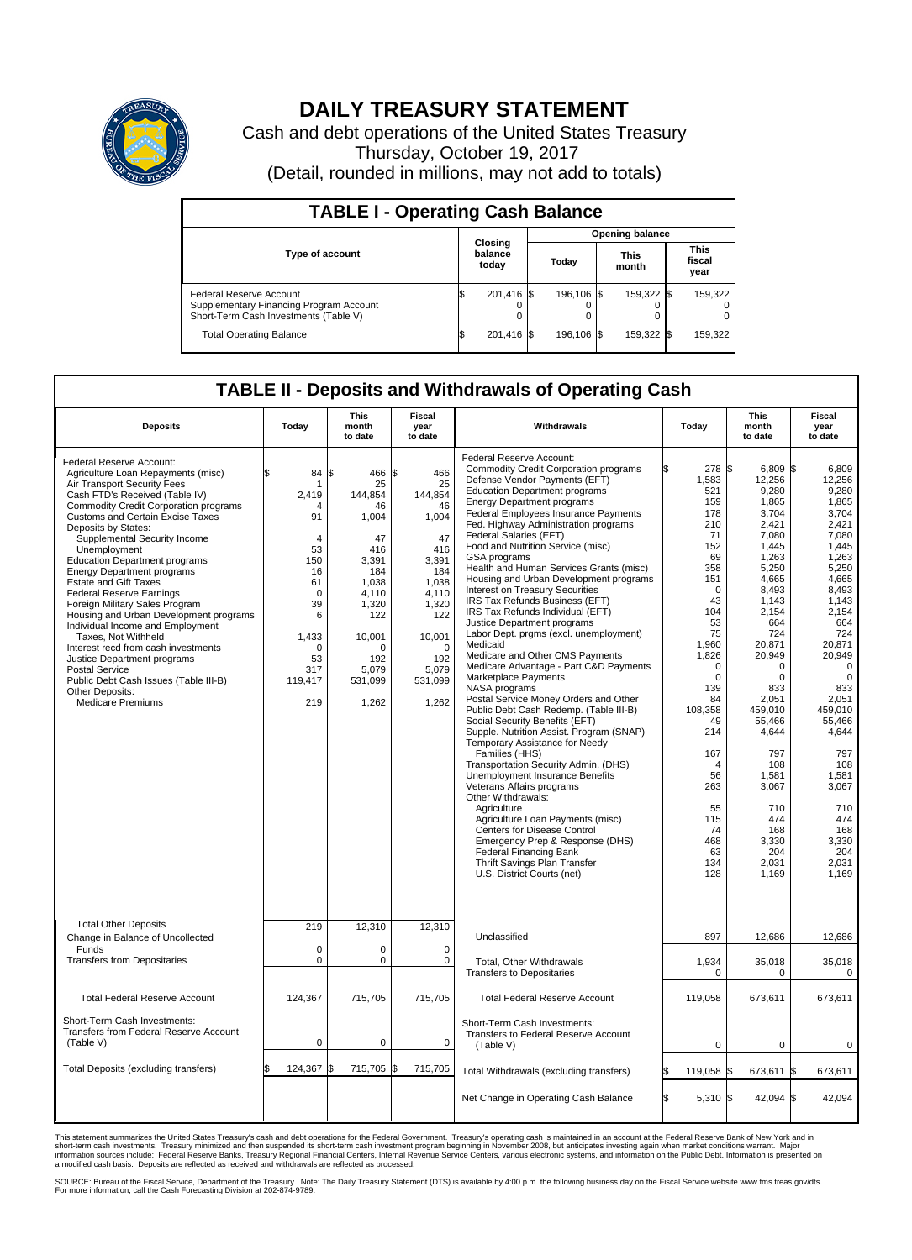

## **DAILY TREASURY STATEMENT**

Cash and debt operations of the United States Treasury Thursday, October 19, 2017 (Detail, rounded in millions, may not add to totals)

| <b>TABLE I - Operating Cash Balance</b>                                                                     |    |                             |  |                        |  |                      |  |                               |  |  |  |
|-------------------------------------------------------------------------------------------------------------|----|-----------------------------|--|------------------------|--|----------------------|--|-------------------------------|--|--|--|
|                                                                                                             |    |                             |  | <b>Opening balance</b> |  |                      |  |                               |  |  |  |
| <b>Type of account</b>                                                                                      |    | Closing<br>balance<br>today |  | Today                  |  | <b>This</b><br>month |  | <b>This</b><br>fiscal<br>year |  |  |  |
| Federal Reserve Account<br>Supplementary Financing Program Account<br>Short-Term Cash Investments (Table V) |    | 201,416 \$                  |  | 196,106 \$             |  | 159,322 \$           |  | 159,322                       |  |  |  |
| <b>Total Operating Balance</b>                                                                              | IЭ | 201,416 \$                  |  | 196.106 \$             |  | 159,322 \$           |  | 159,322                       |  |  |  |

## **TABLE II - Deposits and Withdrawals of Operating Cash**

| <b>Deposits</b>                                                                                                                                                                                                                                                                                                                                                                                                                                                                                                                                                                                                                                                                                                                                                                 | Today                                                                                                                                                              | <b>This</b><br>month<br>to date                                                                                                                                        | <b>Fiscal</b><br>year<br>to date                                                                                                                                | Withdrawals                                                                                                                                                                                                                                                                                                                                                                                                                                                                                                                                                                                                                                                                                                                                                                                                                                                                                                                                                                                                                                                                                                                                                                                                                                                                                                                    |    | Today                                                                                                                                                                                                                                                                                      | <b>This</b><br>month<br>to date                                                                                                                                                                                                                                                                                                  | Fiscal<br>year<br>to date                                                                                                                                                                                                                                                                                                        |
|---------------------------------------------------------------------------------------------------------------------------------------------------------------------------------------------------------------------------------------------------------------------------------------------------------------------------------------------------------------------------------------------------------------------------------------------------------------------------------------------------------------------------------------------------------------------------------------------------------------------------------------------------------------------------------------------------------------------------------------------------------------------------------|--------------------------------------------------------------------------------------------------------------------------------------------------------------------|------------------------------------------------------------------------------------------------------------------------------------------------------------------------|-----------------------------------------------------------------------------------------------------------------------------------------------------------------|--------------------------------------------------------------------------------------------------------------------------------------------------------------------------------------------------------------------------------------------------------------------------------------------------------------------------------------------------------------------------------------------------------------------------------------------------------------------------------------------------------------------------------------------------------------------------------------------------------------------------------------------------------------------------------------------------------------------------------------------------------------------------------------------------------------------------------------------------------------------------------------------------------------------------------------------------------------------------------------------------------------------------------------------------------------------------------------------------------------------------------------------------------------------------------------------------------------------------------------------------------------------------------------------------------------------------------|----|--------------------------------------------------------------------------------------------------------------------------------------------------------------------------------------------------------------------------------------------------------------------------------------------|----------------------------------------------------------------------------------------------------------------------------------------------------------------------------------------------------------------------------------------------------------------------------------------------------------------------------------|----------------------------------------------------------------------------------------------------------------------------------------------------------------------------------------------------------------------------------------------------------------------------------------------------------------------------------|
| Federal Reserve Account:<br>Agriculture Loan Repayments (misc)<br>Air Transport Security Fees<br>Cash FTD's Received (Table IV)<br><b>Commodity Credit Corporation programs</b><br><b>Customs and Certain Excise Taxes</b><br>Deposits by States:<br>Supplemental Security Income<br>Unemployment<br><b>Education Department programs</b><br><b>Energy Department programs</b><br><b>Estate and Gift Taxes</b><br><b>Federal Reserve Earnings</b><br>Foreign Military Sales Program<br>Housing and Urban Development programs<br>Individual Income and Employment<br>Taxes, Not Withheld<br>Interest recd from cash investments<br>Justice Department programs<br><b>Postal Service</b><br>Public Debt Cash Issues (Table III-B)<br>Other Deposits:<br><b>Medicare Premiums</b> | \$<br>84<br>2,419<br>$\overline{4}$<br>91<br>$\overline{4}$<br>53<br>150<br>16<br>61<br>$\mathbf 0$<br>39<br>6<br>1,433<br>$\Omega$<br>53<br>317<br>119,417<br>219 | l\$<br>466 \$<br>25<br>144,854<br>46<br>1,004<br>47<br>416<br>3,391<br>184<br>1,038<br>4.110<br>1,320<br>122<br>10,001<br>$\Omega$<br>192<br>5,079<br>531,099<br>1,262 | 466<br>25<br>144,854<br>46<br>1,004<br>47<br>416<br>3,391<br>184<br>1,038<br>4.110<br>1,320<br>122<br>10,001<br>$\mathbf 0$<br>192<br>5,079<br>531,099<br>1,262 | Federal Reserve Account:<br><b>Commodity Credit Corporation programs</b><br>Defense Vendor Payments (EFT)<br><b>Education Department programs</b><br><b>Energy Department programs</b><br>Federal Employees Insurance Payments<br>Fed. Highway Administration programs<br>Federal Salaries (EFT)<br>Food and Nutrition Service (misc)<br>GSA programs<br>Health and Human Services Grants (misc)<br>Housing and Urban Development programs<br>Interest on Treasury Securities<br>IRS Tax Refunds Business (EFT)<br>IRS Tax Refunds Individual (EFT)<br>Justice Department programs<br>Labor Dept. prgms (excl. unemployment)<br>Medicaid<br>Medicare and Other CMS Payments<br>Medicare Advantage - Part C&D Payments<br>Marketplace Payments<br>NASA programs<br>Postal Service Money Orders and Other<br>Public Debt Cash Redemp. (Table III-B)<br>Social Security Benefits (EFT)<br>Supple. Nutrition Assist. Program (SNAP)<br>Temporary Assistance for Needy<br>Families (HHS)<br>Transportation Security Admin. (DHS)<br>Unemployment Insurance Benefits<br>Veterans Affairs programs<br>Other Withdrawals:<br>Agriculture<br>Agriculture Loan Payments (misc)<br>Centers for Disease Control<br>Emergency Prep & Response (DHS)<br>Federal Financing Bank<br>Thrift Savings Plan Transfer<br>U.S. District Courts (net) |    | 278 \$<br>1,583<br>521<br>159<br>178<br>210<br>71<br>152<br>69<br>358<br>151<br>$\Omega$<br>43<br>104<br>53<br>75<br>1,960<br>1,826<br>$\mathbf 0$<br>$\mathbf 0$<br>139<br>84<br>108,358<br>49<br>214<br>167<br>$\overline{4}$<br>56<br>263<br>55<br>115<br>74<br>468<br>63<br>134<br>128 | 6,809 \$<br>12,256<br>9,280<br>1,865<br>3,704<br>2,421<br>7,080<br>1.445<br>1,263<br>5,250<br>4.665<br>8,493<br>1,143<br>2,154<br>664<br>724<br>20,871<br>20,949<br>$\Omega$<br>$\mathbf 0$<br>833<br>2.051<br>459,010<br>55.466<br>4,644<br>797<br>108<br>1,581<br>3,067<br>710<br>474<br>168<br>3,330<br>204<br>2,031<br>1,169 | 6,809<br>12,256<br>9.280<br>1.865<br>3,704<br>2,421<br>7,080<br>1.445<br>1,263<br>5,250<br>4.665<br>8,493<br>1,143<br>2,154<br>664<br>724<br>20,871<br>20,949<br>$\mathbf 0$<br>$\mathbf 0$<br>833<br>2.051<br>459.010<br>55.466<br>4,644<br>797<br>108<br>1,581<br>3,067<br>710<br>474<br>168<br>3,330<br>204<br>2,031<br>1,169 |
| <b>Total Other Deposits</b><br>Change in Balance of Uncollected<br>Funds                                                                                                                                                                                                                                                                                                                                                                                                                                                                                                                                                                                                                                                                                                        | 219<br>$\mathbf 0$                                                                                                                                                 | 12,310<br>$\Omega$                                                                                                                                                     | 12,310<br>$\mathbf 0$                                                                                                                                           | Unclassified                                                                                                                                                                                                                                                                                                                                                                                                                                                                                                                                                                                                                                                                                                                                                                                                                                                                                                                                                                                                                                                                                                                                                                                                                                                                                                                   |    | 897                                                                                                                                                                                                                                                                                        | 12,686                                                                                                                                                                                                                                                                                                                           | 12,686                                                                                                                                                                                                                                                                                                                           |
| <b>Transfers from Depositaries</b>                                                                                                                                                                                                                                                                                                                                                                                                                                                                                                                                                                                                                                                                                                                                              | $\pmb{0}$                                                                                                                                                          | 0                                                                                                                                                                      | $\mathbf 0$                                                                                                                                                     | Total, Other Withdrawals<br><b>Transfers to Depositaries</b>                                                                                                                                                                                                                                                                                                                                                                                                                                                                                                                                                                                                                                                                                                                                                                                                                                                                                                                                                                                                                                                                                                                                                                                                                                                                   |    | 1,934<br>$\Omega$                                                                                                                                                                                                                                                                          | 35,018<br>$\Omega$                                                                                                                                                                                                                                                                                                               | 35,018<br>$\mathbf 0$                                                                                                                                                                                                                                                                                                            |
| <b>Total Federal Reserve Account</b>                                                                                                                                                                                                                                                                                                                                                                                                                                                                                                                                                                                                                                                                                                                                            | 124,367                                                                                                                                                            | 715,705                                                                                                                                                                | 715,705                                                                                                                                                         | <b>Total Federal Reserve Account</b>                                                                                                                                                                                                                                                                                                                                                                                                                                                                                                                                                                                                                                                                                                                                                                                                                                                                                                                                                                                                                                                                                                                                                                                                                                                                                           |    | 119,058                                                                                                                                                                                                                                                                                    | 673,611                                                                                                                                                                                                                                                                                                                          | 673,611                                                                                                                                                                                                                                                                                                                          |
| Short-Term Cash Investments:<br>Transfers from Federal Reserve Account<br>(Table V)                                                                                                                                                                                                                                                                                                                                                                                                                                                                                                                                                                                                                                                                                             | $\pmb{0}$                                                                                                                                                          | 0                                                                                                                                                                      | $\mathbf 0$                                                                                                                                                     | Short-Term Cash Investments:<br>Transfers to Federal Reserve Account<br>(Table V)                                                                                                                                                                                                                                                                                                                                                                                                                                                                                                                                                                                                                                                                                                                                                                                                                                                                                                                                                                                                                                                                                                                                                                                                                                              |    | 0                                                                                                                                                                                                                                                                                          | $\mathbf 0$                                                                                                                                                                                                                                                                                                                      | $\mathbf 0$                                                                                                                                                                                                                                                                                                                      |
| Total Deposits (excluding transfers)                                                                                                                                                                                                                                                                                                                                                                                                                                                                                                                                                                                                                                                                                                                                            | 124,367                                                                                                                                                            | 715,705                                                                                                                                                                | 715,705<br>\$                                                                                                                                                   | Total Withdrawals (excluding transfers)                                                                                                                                                                                                                                                                                                                                                                                                                                                                                                                                                                                                                                                                                                                                                                                                                                                                                                                                                                                                                                                                                                                                                                                                                                                                                        |    | 119,058 \$                                                                                                                                                                                                                                                                                 | 673,611 \$                                                                                                                                                                                                                                                                                                                       | 673,611                                                                                                                                                                                                                                                                                                                          |
|                                                                                                                                                                                                                                                                                                                                                                                                                                                                                                                                                                                                                                                                                                                                                                                 |                                                                                                                                                                    |                                                                                                                                                                        |                                                                                                                                                                 | Net Change in Operating Cash Balance                                                                                                                                                                                                                                                                                                                                                                                                                                                                                                                                                                                                                                                                                                                                                                                                                                                                                                                                                                                                                                                                                                                                                                                                                                                                                           | Ŝ. | $5,310$ \$                                                                                                                                                                                                                                                                                 | 42,094 \$                                                                                                                                                                                                                                                                                                                        | 42,094                                                                                                                                                                                                                                                                                                                           |

This statement summarizes the United States Treasury's cash and debt operations for the Federal Government. Treasury's operating cash is maintained in an account at the Federal Reserve Bank of New York and in<br>short-term ca

SOURCE: Bureau of the Fiscal Service, Department of the Treasury. Note: The Daily Treasury Statement (DTS) is available by 4:00 p.m. the following business day on the Fiscal Service website www.fms.treas.gov/dts.<br>For more